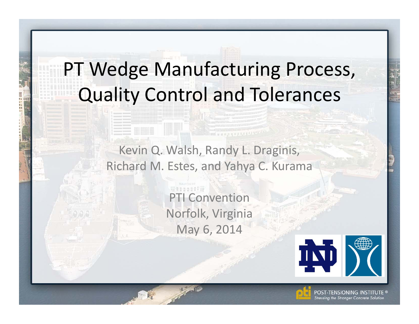## PT Wedge Manufacturing Process, Quality Control and Tolerances

Kevin Q. Walsh, Randy L. Draginis, Richard M. Estes, and Yahya C. Kurama

diam Seeman Serves 12411

PTI Convention Norfolk, Virginia May 6, 2014





TENSIONING INSTITUTE ® tressing the Stronger Concrete Solution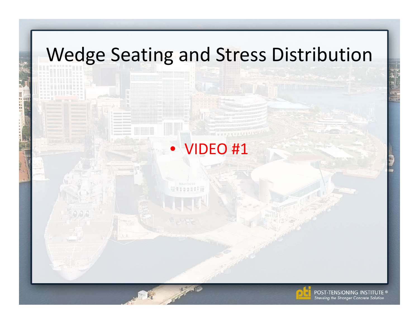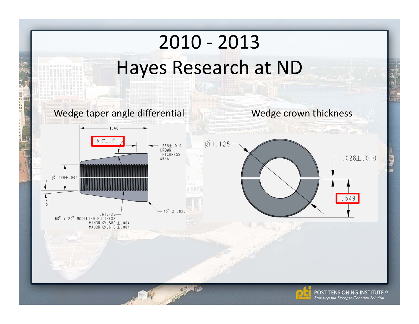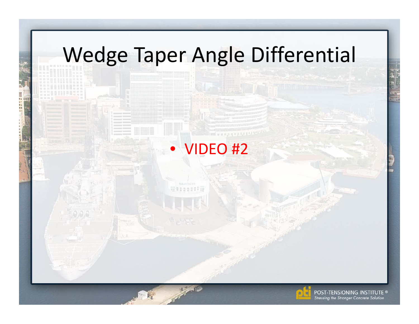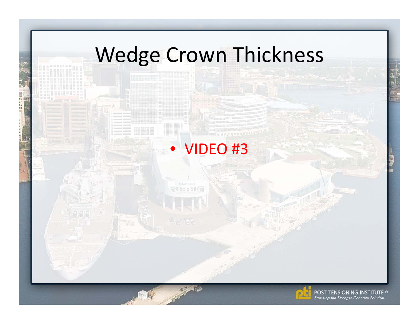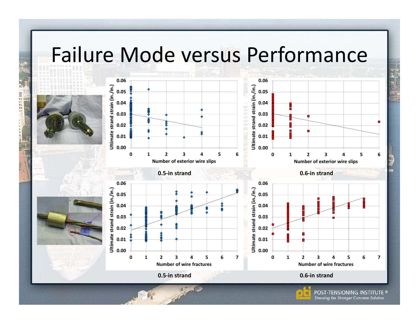## Failure Mode versus Performance

日本 は物料料 司房

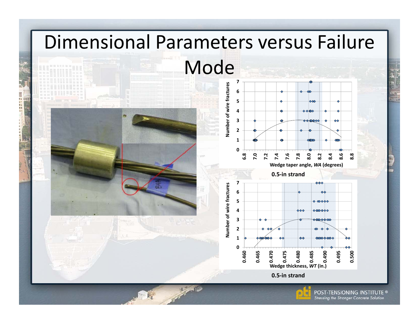